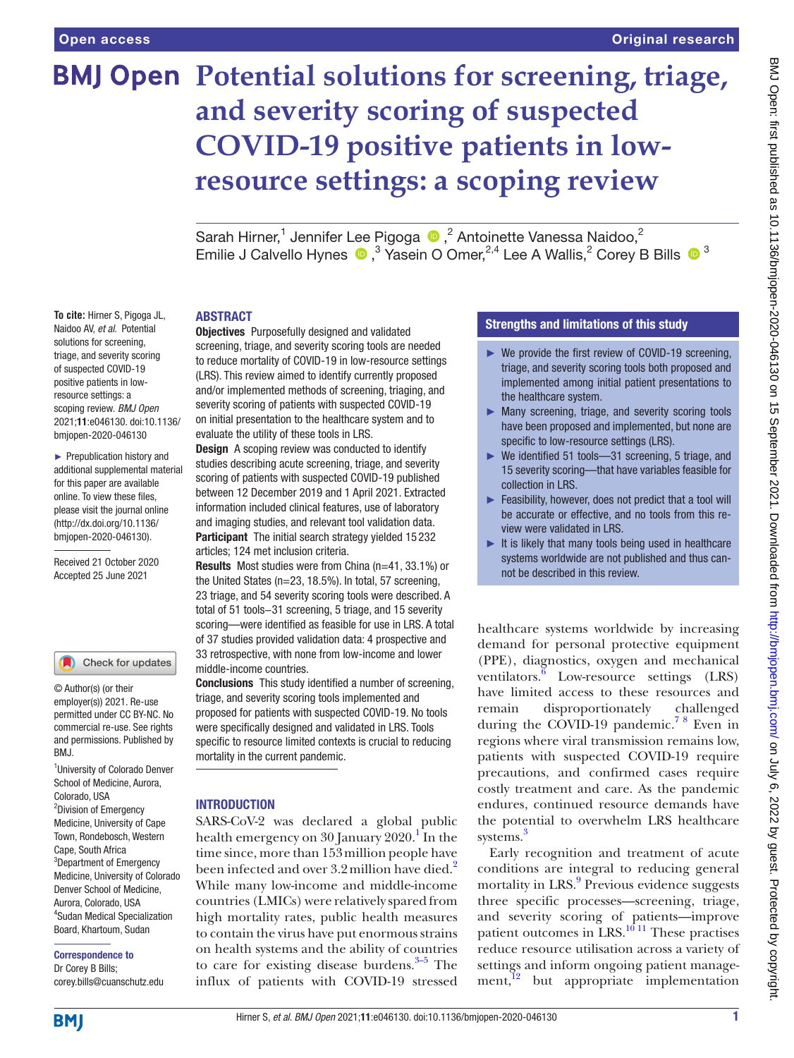**To cite:** Hirner S, Pigoga JL, Naidoo AV, *et al*. Potential solutions for screening, triage, and severity scoring of suspected COVID-19 positive patients in lowresource settings: a scoping review. *BMJ Open* 2021;11:e046130. doi:10.1136/ bmjopen-2020-046130 ► Prepublication history and additional supplemental material for this paper are available online. To view these files, please visit the journal online (http://dx.doi.org/10.1136/ bmjopen-2020-046130). Received 21 October 2020 Accepted 25 June 2021

# **BMJ Open Potential solutions for screening, triage, and severity scoring of suspected COVID-19 positive patients in lowresource settings: a scoping review**

SarahHirner,<sup>1</sup> Jennifer Lee Pigoga  $\bigcirc$ ,<sup>2</sup> Antoinette Vanessa Naidoo,<sup>2</sup> EmilieJ Calvello Hynes  $\bigcirc$ ,<sup>3</sup> Yasein O Omer,<sup>2,4</sup> Lee A Wallis,<sup>2</sup> Corey B Bills  $\bigcirc$ <sup>3</sup>

#### ABSTRACT

Objectives Purposefully designed and validated screening, triage, and severity scoring tools are needed to reduce mortality of COVID-19 in low-resource settings (LRS). This review aimed to identify currently proposed and/or implemented methods of screening, triaging, and severity scoring of patients with suspected COVID-19 on initial presentation to the healthcare system and to evaluate the utility of these tools in LRS.

**Design** A scoping review was conducted to identify studies describing acute screening, triage, and severity scoring of patients with suspected COVID-19 published between 12 December 2019 and 1 April 2021. Extracted information included clinical features, use of laboratory and imaging studies, and relevant tool validation data. Participant The initial search strategy yielded 15 232 articles; 124 met inclusion criteria.

Results Most studies were from China (n=41, 33.1%) or the United States (n=23, 18.5%). In total, 57 screening, 23 triage, and 54 severity scoring tools were described. A total of 51 tools−31 screening, 5 triage, and 15 severity scoring—were identified as feasible for use in LRS. A total of 37 studies provided validation data: 4 prospective and 33 retrospective, with none from low-income and lower middle-income countries.

Conclusions This study identified a number of screening, triage, and severity scoring tools implemented and proposed for patients with suspected COVID-19. No tools were specifically designed and validated in LRS. Tools specific to resource limited contexts is crucial to reducing mortality in the current pandemic.

#### **INTRODUCTION**

SARS-CoV-2 was declared a global public health emergency on 30 January 2020.<sup>[1](#page-6-0)</sup> In the time since, more than 153million people have been infected and over 3.[2](#page-6-1) million have died.<sup>2</sup> While many low-income and middle-income countries (LMICs) were relatively spared from high mortality rates, public health measures to contain the virus have put enormous strains on health systems and the ability of countries to care for existing disease burdens. $3-5$  The influx of patients with COVID-19 stressed

## Strengths and limitations of this study

- ► We provide the first review of COVID-19 screening, triage, and severity scoring tools both proposed and implemented among initial patient presentations to the healthcare system.
- ► Many screening, triage, and severity scoring tools have been proposed and implemented, but none are specific to low-resource settings (LRS).
- ► We identified 51 tools—31 screening, 5 triage, and 15 severity scoring—that have variables feasible for collection in LRS.
- ► Feasibility, however, does not predict that a tool will be accurate or effective, and no tools from this review were validated in LRS.
- ► It is likely that many tools being used in healthcare systems worldwide are not published and thus cannot be described in this review.

healthcare systems worldwide by increasing demand for personal protective equipment (PPE), diagnostics, oxygen and mechanical ventilators. $\frac{6}{6}$  Low-resource settings (LRS) have limited access to these resources and remain disproportionately challenged during the COVID-19 pandemic.<sup>78</sup> Even in regions where viral transmission remains low, patients with suspected COVID-19 require precautions, and confirmed cases require costly treatment and care. As the pandemic endures, continued resource demands have the potential to overwhelm LRS healthcare systems.<sup>[3](#page-6-2)</sup>

Early recognition and treatment of acute conditions are integral to reducing general mortality in LRS.<sup>[9](#page-6-5)</sup> Previous evidence suggests three specific processes—screening, triage, and severity scoring of patients—improve patient outcomes in LRS.<sup>[10 11](#page-6-6)</sup> These practises reduce resource utilisation across a variety of settings and inform ongoing patient manage $ment$ ,<sup>12</sup> but appropriate implementation

Dr Corey B Bills; corey.bills@cuanschutz.edu

Correspondence to

<sup>1</sup>University of Colorado Denver School of Medicine, Aurora,

Check for updates

Colorado, USA <sup>2</sup>Division of Emergency Medicine, University of Cape Town, Rondebosch, Western Cape, South Africa <sup>3</sup>Department of Emergency Medicine, University of Colorado Denver School of Medicine, Aurora, Colorado, USA 4 Sudan Medical Specialization Board, Khartoum, Sudan

RM<sub>J</sub>

© Author(s) (or their employer(s)) 2021. Re-use permitted under CC BY-NC. No commercial re-use. See rights and permissions. Published by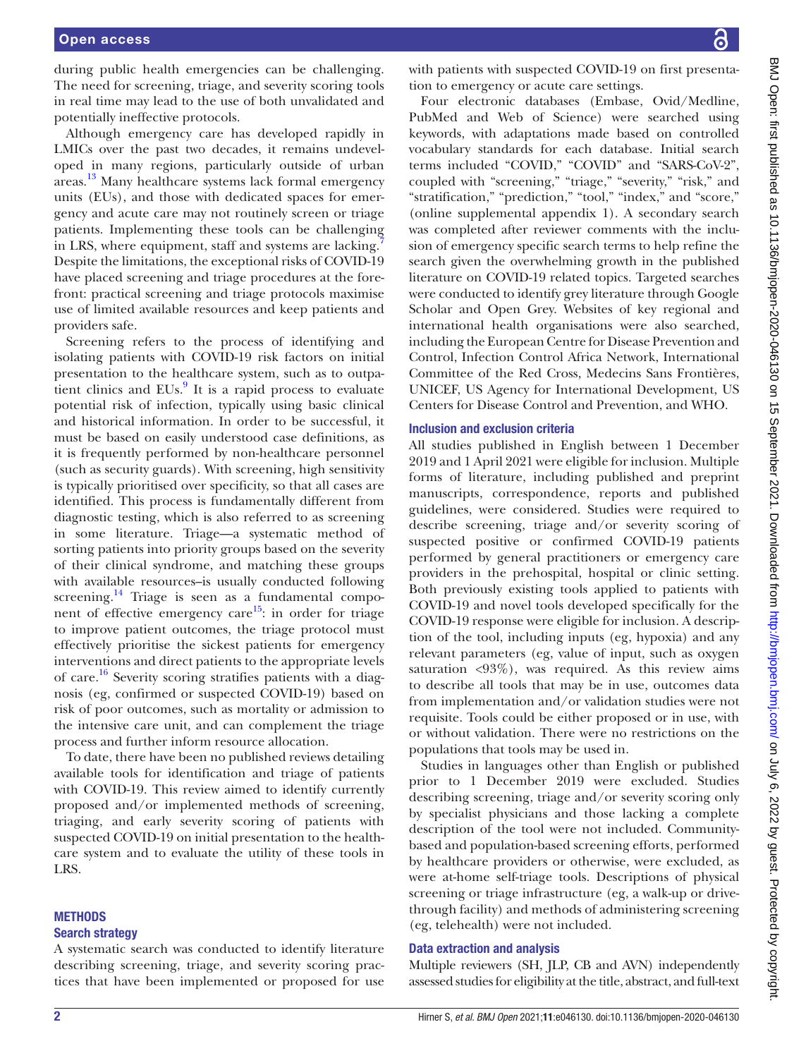during public health emergencies can be challenging. The need for screening, triage, and severity scoring tools in real time may lead to the use of both unvalidated and potentially ineffective protocols.

Although emergency care has developed rapidly in LMICs over the past two decades, it remains undeveloped in many regions, particularly outside of urban areas.<sup>[13](#page-6-8)</sup> Many healthcare systems lack formal emergency units (EUs), and those with dedicated spaces for emergency and acute care may not routinely screen or triage patients. Implementing these tools can be challenging in LRS, where equipment, staff and systems are lacking. Despite the limitations, the exceptional risks of COVID-19 have placed screening and triage procedures at the forefront: practical screening and triage protocols maximise use of limited available resources and keep patients and providers safe.

Screening refers to the process of identifying and isolating patients with COVID-19 risk factors on initial presentation to the healthcare system, such as to outpatient clinics and  $EUs<sup>9</sup>$  $EUs<sup>9</sup>$  $EUs<sup>9</sup>$  It is a rapid process to evaluate potential risk of infection, typically using basic clinical and historical information. In order to be successful, it must be based on easily understood case definitions, as it is frequently performed by non-healthcare personnel (such as security guards). With screening, high sensitivity is typically prioritised over specificity, so that all cases are identified. This process is fundamentally different from diagnostic testing, which is also referred to as screening in some literature. Triage—a systematic method of sorting patients into priority groups based on the severity of their clinical syndrome, and matching these groups with available resources–is usually conducted following screening.<sup>14</sup> Triage is seen as a fundamental component of effective emergency care<sup>15</sup>: in order for triage to improve patient outcomes, the triage protocol must effectively prioritise the sickest patients for emergency interventions and direct patients to the appropriate levels of care.<sup>16</sup> Severity scoring stratifies patients with a diagnosis (eg, confirmed or suspected COVID-19) based on risk of poor outcomes, such as mortality or admission to the intensive care unit, and can complement the triage process and further inform resource allocation.

To date, there have been no published reviews detailing available tools for identification and triage of patients with COVID-19. This review aimed to identify currently proposed and/or implemented methods of screening, triaging, and early severity scoring of patients with suspected COVID-19 on initial presentation to the healthcare system and to evaluate the utility of these tools in LRS.

# **METHODS**

### Search strategy

A systematic search was conducted to identify literature describing screening, triage, and severity scoring practices that have been implemented or proposed for use

with patients with suspected COVID-19 on first presentation to emergency or acute care settings.

Four electronic databases (Embase, Ovid/Medline, PubMed and Web of Science) were searched using keywords, with adaptations made based on controlled vocabulary standards for each database. Initial search terms included "COVID," "COVID" and "SARS-CoV-2", coupled with "screening," "triage," "severity," "risk," and "stratification," "prediction," "tool," "index," and "score," [\(online supplemental appendix 1\)](https://dx.doi.org/10.1136/bmjopen-2020-046130). A secondary search was completed after reviewer comments with the inclusion of emergency specific search terms to help refine the search given the overwhelming growth in the published literature on COVID-19 related topics. Targeted searches were conducted to identify grey literature through Google Scholar and Open Grey. Websites of key regional and international health organisations were also searched, including the European Centre for Disease Prevention and Control, Infection Control Africa Network, International Committee of the Red Cross, Medecins Sans Frontières, UNICEF, US Agency for International Development, US Centers for Disease Control and Prevention, and WHO.

#### Inclusion and exclusion criteria

All studies published in English between 1 December 2019 and 1 April 2021 were eligible for inclusion. Multiple forms of literature, including published and preprint manuscripts, correspondence, reports and published guidelines, were considered. Studies were required to describe screening, triage and/or severity scoring of suspected positive or confirmed COVID-19 patients performed by general practitioners or emergency care providers in the prehospital, hospital or clinic setting. Both previously existing tools applied to patients with COVID-19 and novel tools developed specifically for the COVID-19 response were eligible for inclusion. A description of the tool, including inputs (eg, hypoxia) and any relevant parameters (eg, value of input, such as oxygen saturation <93%), was required. As this review aims to describe all tools that may be in use, outcomes data from implementation and/or validation studies were not requisite. Tools could be either proposed or in use, with or without validation. There were no restrictions on the populations that tools may be used in.

Studies in languages other than English or published prior to 1 December 2019 were excluded. Studies describing screening, triage and/or severity scoring only by specialist physicians and those lacking a complete description of the tool were not included. Communitybased and population-based screening efforts, performed by healthcare providers or otherwise, were excluded, as were at-home self-triage tools. Descriptions of physical screening or triage infrastructure (eg, a walk-up or drivethrough facility) and methods of administering screening (eg, telehealth) were not included.

### Data extraction and analysis

Multiple reviewers (SH, JLP, CB and AVN) independently assessed studies for eligibility at the title, abstract, and full-text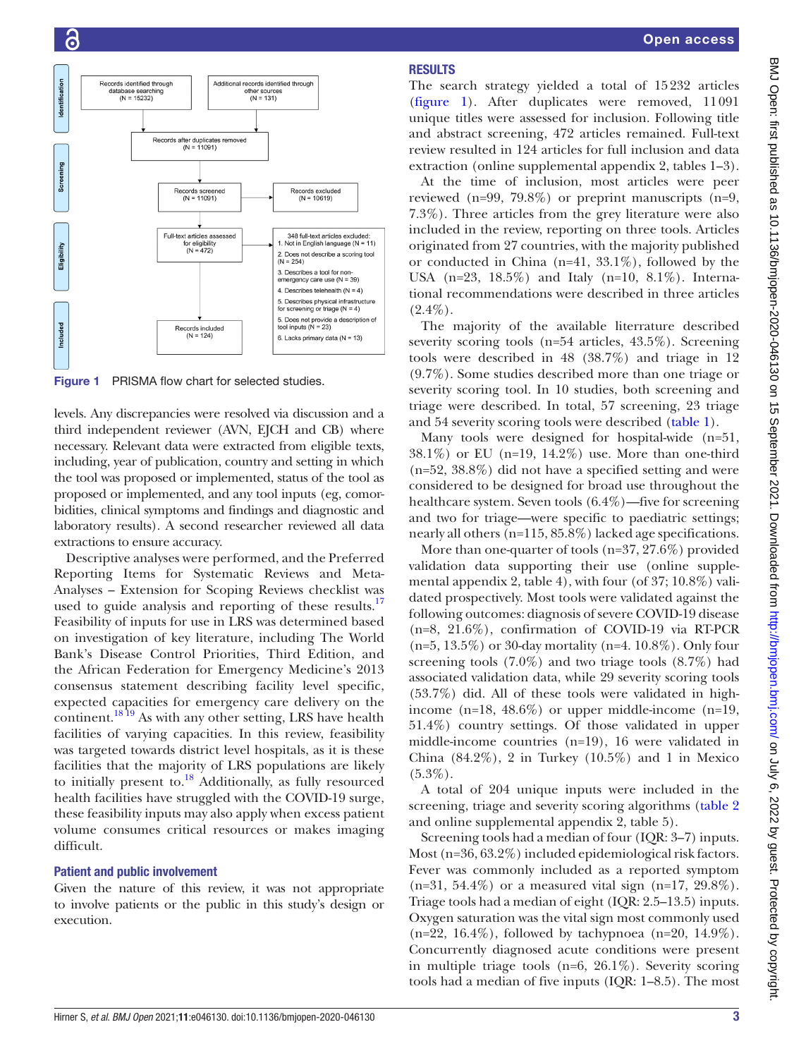

<span id="page-2-0"></span>Figure 1 PRISMA flow chart for selected studies.

levels. Any discrepancies were resolved via discussion and a third independent reviewer (AVN, EJCH and CB) where necessary. Relevant data were extracted from eligible texts, including, year of publication, country and setting in which the tool was proposed or implemented, status of the tool as proposed or implemented, and any tool inputs (eg, comorbidities, clinical symptoms and findings and diagnostic and laboratory results). A second researcher reviewed all data extractions to ensure accuracy.

Descriptive analyses were performed, and the Preferred Reporting Items for Systematic Reviews and Meta-Analyses – Extension for Scoping Reviews checklist was used to guide analysis and reporting of these results.<sup>17</sup> Feasibility of inputs for use in LRS was determined based on investigation of key literature, including The World Bank's Disease Control Priorities, Third Edition, and the African Federation for Emergency Medicine's 2013 consensus statement describing facility level specific, expected capacities for emergency care delivery on the continent.<sup>[18 19](#page-6-13)</sup> As with any other setting, LRS have health facilities of varying capacities. In this review, feasibility was targeted towards district level hospitals, as it is these facilities that the majority of LRS populations are likely to initially present to.[18](#page-6-13) Additionally, as fully resourced health facilities have struggled with the COVID-19 surge, these feasibility inputs may also apply when excess patient volume consumes critical resources or makes imaging difficult.

#### Patient and public involvement

Given the nature of this review, it was not appropriate to involve patients or the public in this study's design or execution.

### Open access

# **RESULTS**

The search strategy yielded a total of 15232 articles [\(figure](#page-2-0) 1). After duplicates were removed, 11091 unique titles were assessed for inclusion. Following title and abstract screening, 472 articles remained. Full-text review resulted in 124 articles for full inclusion and data extraction [\(online supplemental appendix 2, tables 1–3\)](https://dx.doi.org/10.1136/bmjopen-2020-046130).

At the time of inclusion, most articles were peer reviewed (n=99, 79.8%) or preprint manuscripts (n=9, 7.3%). Three articles from the grey literature were also included in the review, reporting on three tools. Articles originated from 27 countries, with the majority published or conducted in China (n=41, 33.1%), followed by the USA (n=23, 18.5%) and Italy (n=10, 8.1%). International recommendations were described in three articles  $(2.4\%).$ 

The majority of the available literrature described severity scoring tools (n=54 articles, 43.5%). Screening tools were described in 48 (38.7%) and triage in 12 (9.7%). Some studies described more than one triage or severity scoring tool. In 10 studies, both screening and triage were described. In total, 57 screening, 23 triage and 54 severity scoring tools were described ([table](#page-3-0) 1).

Many tools were designed for hospital-wide (n=51, 38.1%) or EU (n=19, 14.2%) use. More than one-third (n=52, 38.8%) did not have a specified setting and were considered to be designed for broad use throughout the healthcare system. Seven tools (6.4%)—five for screening and two for triage—were specific to paediatric settings; nearly all others (n=115, 85.8%) lacked age specifications.

More than one-quarter of tools (n=37, 27.6%) provided validation data supporting their use ([online supple](https://dx.doi.org/10.1136/bmjopen-2020-046130)[mental appendix 2, table 4](https://dx.doi.org/10.1136/bmjopen-2020-046130)), with four (of 37; 10.8%) validated prospectively. Most tools were validated against the following outcomes: diagnosis of severe COVID-19 disease (n=8, 21.6%), confirmation of COVID-19 via RT-PCR (n=5, 13.5%) or 30-day mortality (n=4. 10.8%). Only four screening tools (7.0%) and two triage tools (8.7%) had associated validation data, while 29 severity scoring tools (53.7%) did. All of these tools were validated in highincome (n=18, 48.6%) or upper middle-income (n=19, 51.4%) country settings. Of those validated in upper middle-income countries (n=19), 16 were validated in China  $(84.2\%)$ , 2 in Turkey  $(10.5\%)$  and 1 in Mexico  $(5.3\%).$ 

A total of 204 unique inputs were included in the screening, triage and severity scoring algorithms [\(table](#page-3-1) 2 and [online supplemental appendix 2, table 5](https://dx.doi.org/10.1136/bmjopen-2020-046130)).

Screening tools had a median of four (IQR: 3–7) inputs. Most (n=36, 63.2%) included epidemiological risk factors. Fever was commonly included as a reported symptom  $(n=31, 54.4\%)$  or a measured vital sign  $(n=17, 29.8\%).$ Triage tools had a median of eight (IQR: 2.5–13.5) inputs. Oxygen saturation was the vital sign most commonly used  $(n=22, 16.4\%)$ , followed by tachypnoea  $(n=20, 14.9\%)$ . Concurrently diagnosed acute conditions were present in multiple triage tools (n=6, 26.1%). Severity scoring tools had a median of five inputs (IQR: 1–8.5). The most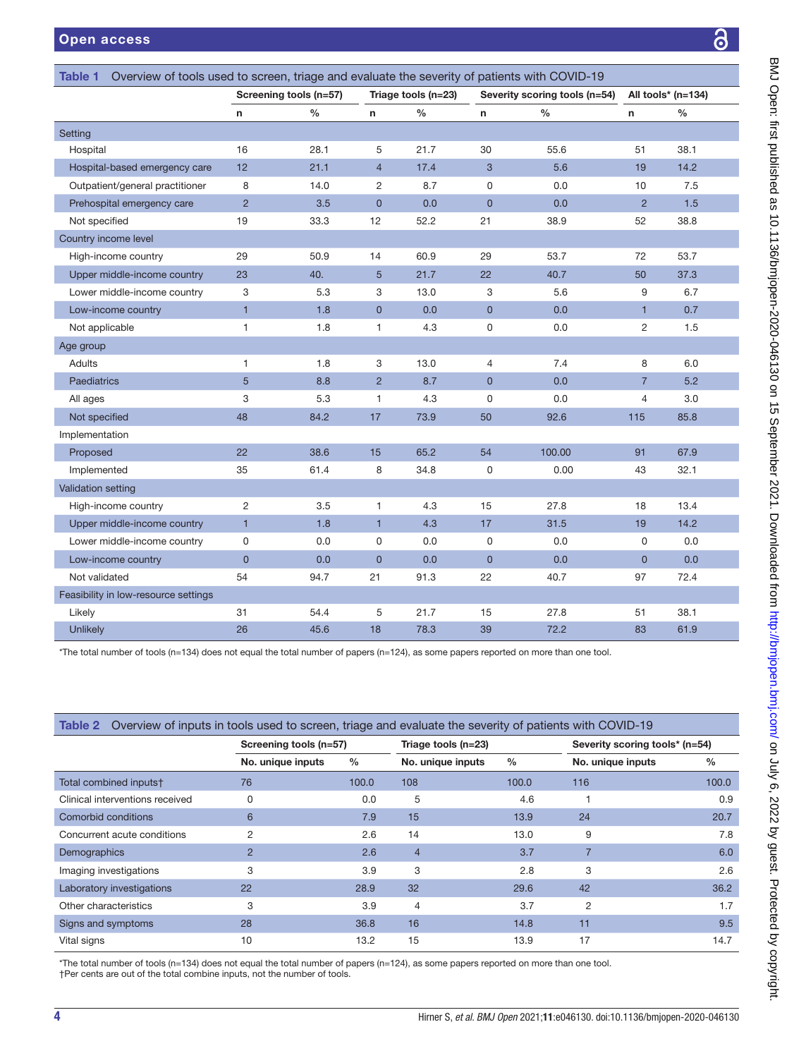<span id="page-3-0"></span>

| <b>Open access</b>                                                                                             |                        |               |                     |               |                               |               |                    |               |
|----------------------------------------------------------------------------------------------------------------|------------------------|---------------|---------------------|---------------|-------------------------------|---------------|--------------------|---------------|
| Overview of tools used to screen, triage and evaluate the severity of patients with COVID-19<br><b>Table 1</b> |                        |               |                     |               |                               |               |                    |               |
|                                                                                                                | Screening tools (n=57) |               | Triage tools (n=23) |               | Severity scoring tools (n=54) |               | All tools* (n=134) |               |
|                                                                                                                | n                      | $\frac{0}{0}$ | n                   | $\frac{0}{0}$ | $\mathbf n$                   | $\frac{0}{0}$ | n                  | $\frac{0}{0}$ |
| Setting                                                                                                        |                        |               |                     |               |                               |               |                    |               |
| Hospital                                                                                                       | 16                     | 28.1          | 5                   | 21.7          | 30                            | 55.6          | 51                 | 38.1          |
| Hospital-based emergency care                                                                                  | 12                     | 21.1          | $\overline{4}$      | 17.4          | 3                             | 5.6           | 19                 | 14.2          |
| Outpatient/general practitioner                                                                                | 8                      | 14.0          | $\overline{2}$      | 8.7           | $\Omega$                      | 0.0           | 10                 | 7.5           |
| Prehospital emergency care                                                                                     | $\overline{2}$         | 3.5           | $\mathbf 0$         | 0.0           | $\overline{0}$                | 0.0           | $\overline{2}$     | 1.5           |
| Not specified                                                                                                  | 19                     | 33.3          | 12                  | 52.2          | 21                            | 38.9          | 52                 | 38.8          |
| Country income level                                                                                           |                        |               |                     |               |                               |               |                    |               |
| High-income country                                                                                            | 29                     | 50.9          | 14                  | 60.9          | 29                            | 53.7          | 72                 | 53.7          |
| Upper middle-income country                                                                                    | 23                     | 40.           | 5                   | 21.7          | 22                            | 40.7          | 50                 | 37.3          |
| Lower middle-income country                                                                                    | 3                      | 5.3           | 3                   | 13.0          | 3                             | 5.6           | 9                  | 6.7           |
| Low-income country                                                                                             | $\overline{1}$         | 1.8           | $\overline{0}$      | 0.0           | $\overline{0}$                | 0.0           | $\blacksquare$     | 0.7           |
| Not applicable                                                                                                 | $\mathbf{1}$           | 1.8           | $\mathbf{1}$        | 4.3           | 0                             | 0.0           | $\overline{2}$     | 1.5           |
| Age group                                                                                                      |                        |               |                     |               |                               |               |                    |               |
| Adults                                                                                                         | $\mathbf{1}$           | 1.8           | 3                   | 13.0          | $\overline{4}$                | 7.4           | 8                  | 6.0           |
| <b>Paediatrics</b>                                                                                             | 5                      | 8.8           | $\overline{2}$      | 8.7           | $\overline{0}$                | 0.0           | $\overline{7}$     | 5.2           |
| All ages                                                                                                       | 3                      | 5.3           | 1                   | 4.3           | $\mathbf 0$                   | 0.0           | 4                  | 3.0           |
| Not specified                                                                                                  | 48                     | 84.2          | 17                  | 73.9          | 50                            | 92.6          | 115                | 85.8          |
| Implementation                                                                                                 |                        |               |                     |               |                               |               |                    |               |
| Proposed                                                                                                       | 22                     | 38.6          | 15                  | 65.2          | 54                            | 100.00        | 91                 | 67.9          |
| Implemented                                                                                                    | 35                     | 61.4          | 8                   | 34.8          | $\mathbf 0$                   | 0.00          | 43                 | 32.1          |
| <b>Validation setting</b>                                                                                      |                        |               |                     |               |                               |               |                    |               |
| High-income country                                                                                            | $\overline{2}$         | 3.5           | $\mathbf{1}$        | 4.3           | 15                            | 27.8          | 18                 | 13.4          |
| Upper middle-income country                                                                                    | $\overline{1}$         | 1.8           | $\mathbf{1}$        | 4.3           | 17                            | 31.5          | 19                 | 14.2          |
| Lower middle-income country                                                                                    | $\Omega$               | 0.0           | $\Omega$            | 0.0           | $\Omega$                      | 0.0           | $\Omega$           | 0.0           |
| Low-income country                                                                                             | $\overline{0}$         | 0.0           | $\overline{0}$      | 0.0           | $\overline{0}$                | 0.0           | $\Omega$           | 0.0           |
| Not validated                                                                                                  | 54                     | 94.7          | 21                  | 91.3          | 22                            | 40.7          | 97                 | 72.4          |

\*The total number of tools (n=134) does not equal the total number of papers (n=124), as some papers reported on more than one tool.

<span id="page-3-1"></span>

| Overview of inputs in tools used to screen, triage and evaluate the severity of patients with COVID-19<br>Table 2 |                        |       |                     |       |                                |               |  |  |  |  |  |  |  |
|-------------------------------------------------------------------------------------------------------------------|------------------------|-------|---------------------|-------|--------------------------------|---------------|--|--|--|--|--|--|--|
|                                                                                                                   | Screening tools (n=57) |       | Triage tools (n=23) |       | Severity scoring tools* (n=54) |               |  |  |  |  |  |  |  |
|                                                                                                                   | No. unique inputs      | $\%$  | No. unique inputs   | $\%$  | No. unique inputs              | $\frac{0}{0}$ |  |  |  |  |  |  |  |
| Total combined inputs†                                                                                            | 76                     | 100.0 | 108                 | 100.0 | 116                            | 100.0         |  |  |  |  |  |  |  |
| Clinical interventions received                                                                                   | 0                      | 0.0   | 5                   | 4.6   |                                | 0.9           |  |  |  |  |  |  |  |
| Comorbid conditions                                                                                               | 6                      | 7.9   | 15                  | 13.9  | 24                             | 20.7          |  |  |  |  |  |  |  |
| Concurrent acute conditions                                                                                       | 2                      | 2.6   | 14                  | 13.0  | 9                              | 7.8           |  |  |  |  |  |  |  |
| Demographics                                                                                                      | $\overline{2}$         | 2.6   | $\overline{4}$      | 3.7   | $\overline{7}$                 | 6.0           |  |  |  |  |  |  |  |
| Imaging investigations                                                                                            | 3                      | 3.9   | 3                   | 2.8   | 3                              | 2.6           |  |  |  |  |  |  |  |
| Laboratory investigations                                                                                         | 22                     | 28.9  | 32                  | 29.6  | 42                             | 36.2          |  |  |  |  |  |  |  |
| Other characteristics                                                                                             | 3                      | 3.9   | $\overline{4}$      | 3.7   | 2                              | 1.7           |  |  |  |  |  |  |  |
| Signs and symptoms                                                                                                | 28                     | 36.8  | 16                  | 14.8  | 11                             | 9.5           |  |  |  |  |  |  |  |
| Vital signs                                                                                                       | 10                     | 13.2  | 15                  | 13.9  | 17                             | 14.7          |  |  |  |  |  |  |  |

Likely 31 54.4 5 21.7 15 27.8 51 38.1 Unlikely 26 45.6 18 78.3 39 72.2 83 61.9

\*The total number of tools (n=134) does not equal the total number of papers (n=124), as some papers reported on more than one tool. †Per cents are out of the total combine inputs, not the number of tools.

Feasibility in low-resource settings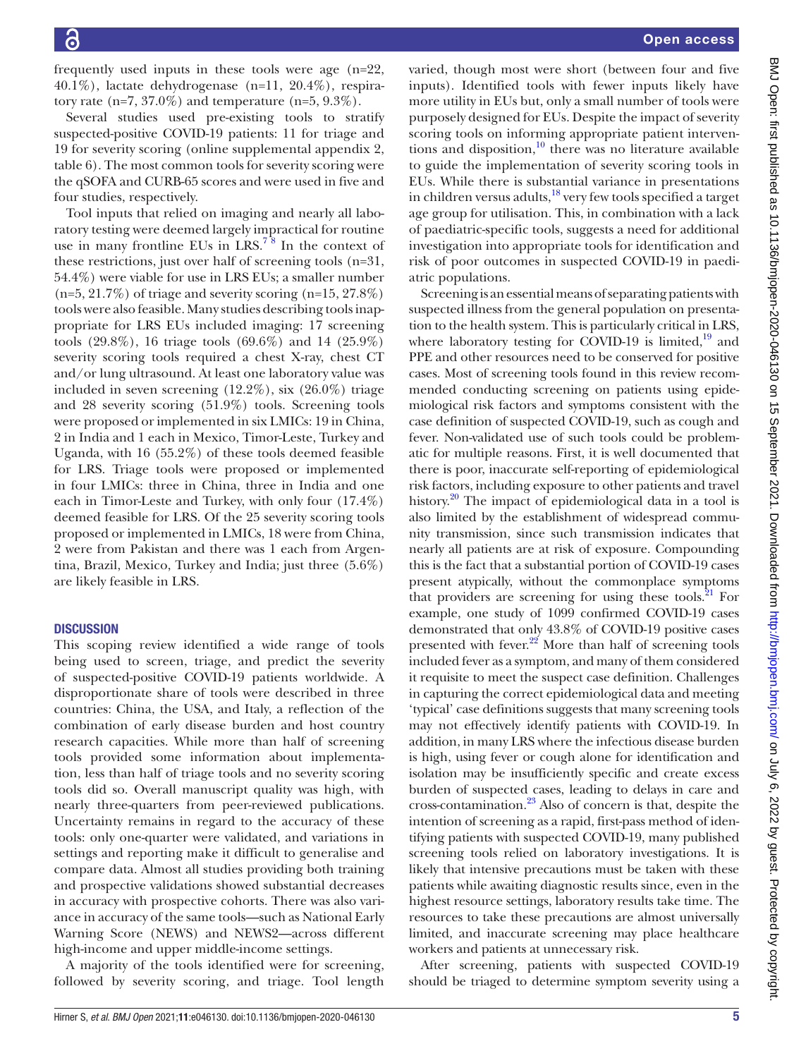frequently used inputs in these tools were age (n=22, 40.1%), lactate dehydrogenase (n=11, 20.4%), respiratory rate (n=7, 37.0%) and temperature (n=5,  $9.3\%$ ).

Several studies used pre-existing tools to stratify suspected-positive COVID-19 patients: 11 for triage and 19 for severity scoring [\(online supplemental appendix 2,](https://dx.doi.org/10.1136/bmjopen-2020-046130) [table 6](https://dx.doi.org/10.1136/bmjopen-2020-046130)). The most common tools for severity scoring were the qSOFA and CURB-65 scores and were used in five and four studies, respectively.

Tool inputs that relied on imaging and nearly all laboratory testing were deemed largely impractical for routine use in many frontline EUs in  $LRS$ <sup>78</sup> In the context of these restrictions, just over half of screening tools (n=31, 54.4%) were viable for use in LRS EUs; a smaller number  $(n=5, 21.7\%)$  of triage and severity scoring  $(n=15, 27.8\%)$ tools were also feasible. Many studies describing tools inappropriate for LRS EUs included imaging: 17 screening tools (29.8%), 16 triage tools (69.6%) and 14 (25.9%) severity scoring tools required a chest X-ray, chest CT and/or lung ultrasound. At least one laboratory value was included in seven screening (12.2%), six (26.0%) triage and 28 severity scoring (51.9%) tools. Screening tools were proposed or implemented in six LMICs: 19 in China, 2 in India and 1 each in Mexico, Timor-Leste, Turkey and Uganda, with 16 (55.2%) of these tools deemed feasible for LRS. Triage tools were proposed or implemented in four LMICs: three in China, three in India and one each in Timor-Leste and Turkey, with only four (17.4%) deemed feasible for LRS. Of the 25 severity scoring tools proposed or implemented in LMICs, 18 were from China, 2 were from Pakistan and there was 1 each from Argentina, Brazil, Mexico, Turkey and India; just three (5.6%) are likely feasible in LRS.

#### **DISCUSSION**

This scoping review identified a wide range of tools being used to screen, triage, and predict the severity of suspected-positive COVID-19 patients worldwide. A disproportionate share of tools were described in three countries: China, the USA, and Italy, a reflection of the combination of early disease burden and host country research capacities. While more than half of screening tools provided some information about implementation, less than half of triage tools and no severity scoring tools did so. Overall manuscript quality was high, with nearly three-quarters from peer-reviewed publications. Uncertainty remains in regard to the accuracy of these tools: only one-quarter were validated, and variations in settings and reporting make it difficult to generalise and compare data. Almost all studies providing both training and prospective validations showed substantial decreases in accuracy with prospective cohorts. There was also variance in accuracy of the same tools—such as National Early Warning Score (NEWS) and NEWS2—across different high-income and upper middle-income settings.

A majority of the tools identified were for screening, followed by severity scoring, and triage. Tool length

varied, though most were short (between four and five inputs). Identified tools with fewer inputs likely have more utility in EUs but, only a small number of tools were purposely designed for EUs. Despite the impact of severity scoring tools on informing appropriate patient interventions and disposition, $\frac{10}{10}$  there was no literature available to guide the implementation of severity scoring tools in EUs. While there is substantial variance in presentations in children versus adults,<sup>18</sup> very few tools specified a target age group for utilisation. This, in combination with a lack of paediatric-specific tools, suggests a need for additional investigation into appropriate tools for identification and risk of poor outcomes in suspected COVID-19 in paediatric populations.

Screening is an essential means of separating patients with suspected illness from the general population on presentation to the health system. This is particularly critical in LRS, where laboratory testing for COVID-19 is limited, $19$  and PPE and other resources need to be conserved for positive cases. Most of screening tools found in this review recommended conducting screening on patients using epidemiological risk factors and symptoms consistent with the case definition of suspected COVID-19, such as cough and fever. Non-validated use of such tools could be problematic for multiple reasons. First, it is well documented that there is poor, inaccurate self-reporting of epidemiological risk factors, including exposure to other patients and travel history.<sup>[20](#page-6-15)</sup> The impact of epidemiological data in a tool is also limited by the establishment of widespread community transmission, since such transmission indicates that nearly all patients are at risk of exposure. Compounding this is the fact that a substantial portion of COVID-19 cases present atypically, without the commonplace symptoms that providers are screening for using these tools. $^{21}$  For example, one study of 1099 confirmed COVID-19 cases demonstrated that only 43.8% of COVID-19 positive cases presented with fever.<sup>22</sup> More than half of screening tools included fever as a symptom, and many of them considered it requisite to meet the suspect case definition. Challenges in capturing the correct epidemiological data and meeting 'typical' case definitions suggests that many screening tools may not effectively identify patients with COVID-19. In addition, in many LRS where the infectious disease burden is high, using fever or cough alone for identification and isolation may be insufficiently specific and create excess burden of suspected cases, leading to delays in care and cross-contamination[.23](#page-6-18) Also of concern is that, despite the intention of screening as a rapid, first-pass method of identifying patients with suspected COVID-19, many published screening tools relied on laboratory investigations. It is likely that intensive precautions must be taken with these patients while awaiting diagnostic results since, even in the highest resource settings, laboratory results take time. The resources to take these precautions are almost universally limited, and inaccurate screening may place healthcare workers and patients at unnecessary risk.

After screening, patients with suspected COVID-19 should be triaged to determine symptom severity using a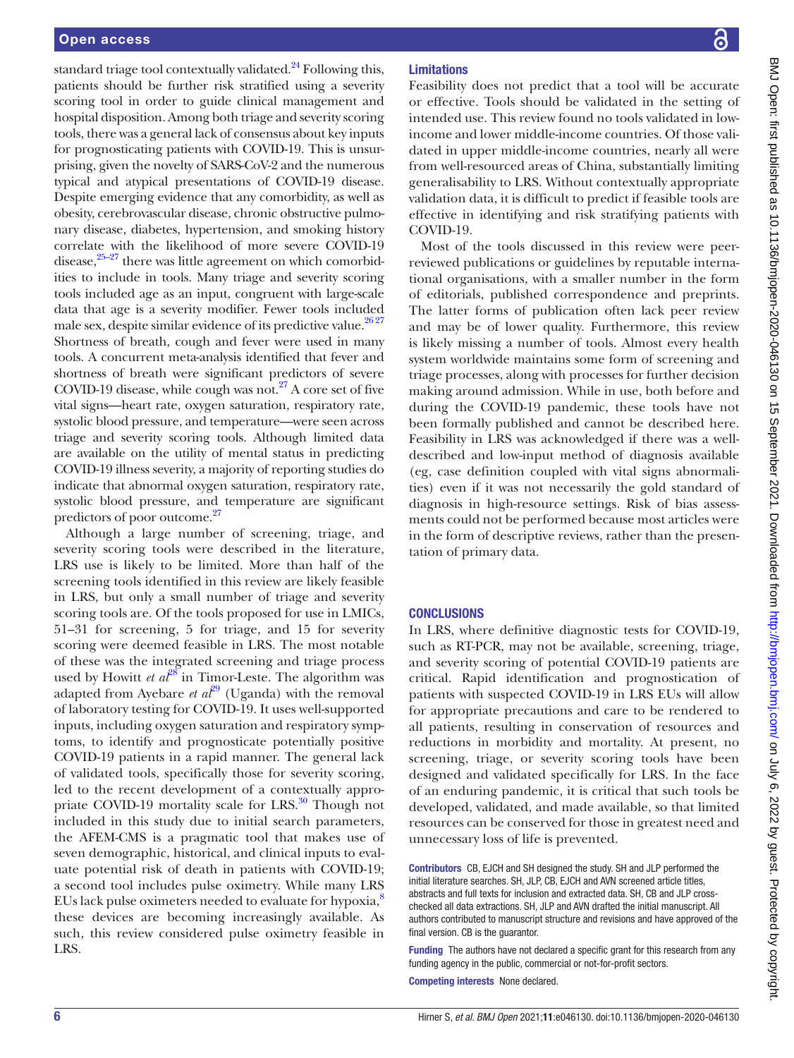standard triage tool contextually validated. $^{24}$  Following this, patients should be further risk stratified using a severity scoring tool in order to guide clinical management and hospital disposition. Among both triage and severity scoring tools, there was a general lack of consensus about key inputs for prognosticating patients with COVID-19. This is unsurprising, given the novelty of SARS-CoV-2 and the numerous typical and atypical presentations of COVID-19 disease. Despite emerging evidence that any comorbidity, as well as obesity, cerebrovascular disease, chronic obstructive pulmonary disease, diabetes, hypertension, and smoking history correlate with the likelihood of more severe COVID-19 disease, $25-27$  there was little agreement on which comorbidities to include in tools. Many triage and severity scoring tools included age as an input, congruent with large-scale data that age is a severity modifier. Fewer tools included male sex, despite similar evidence of its predictive value.<sup>2627</sup> Shortness of breath, cough and fever were used in many tools. A concurrent meta-analysis identified that fever and shortness of breath were significant predictors of severe COVID-19 disease, while cough was not.<sup>27</sup> A core set of five vital signs—heart rate, oxygen saturation, respiratory rate, systolic blood pressure, and temperature—were seen across triage and severity scoring tools. Although limited data are available on the utility of mental status in predicting COVID-19 illness severity, a majority of reporting studies do indicate that abnormal oxygen saturation, respiratory rate, systolic blood pressure, and temperature are significant predictors of poor outcome.<sup>27</sup>

Although a large number of screening, triage, and severity scoring tools were described in the literature, LRS use is likely to be limited. More than half of the screening tools identified in this review are likely feasible in LRS, but only a small number of triage and severity scoring tools are. Of the tools proposed for use in LMICs, 51–31 for screening, 5 for triage, and 15 for severity scoring were deemed feasible in LRS. The most notable of these was the integrated screening and triage process used by Howitt *et*  $a^{28}$  $a^{28}$  $a^{28}$  in Timor-Leste. The algorithm was adapted from Ayebare *et al*<sup>[29](#page-6-24)</sup> (Uganda) with the removal of laboratory testing for COVID-19. It uses well-supported inputs, including oxygen saturation and respiratory symptoms, to identify and prognosticate potentially positive COVID-19 patients in a rapid manner. The general lack of validated tools, specifically those for severity scoring, led to the recent development of a contextually appropriate COVID-19 mortality scale for LRS. $30$  Though not included in this study due to initial search parameters, the AFEM-CMS is a pragmatic tool that makes use of seven demographic, historical, and clinical inputs to evaluate potential risk of death in patients with COVID-19; a second tool includes pulse oximetry. While many LRS EUs lack pulse oximeters needed to evaluate for hypoxia,<sup>[8](#page-6-26)</sup> these devices are becoming increasingly available. As such, this review considered pulse oximetry feasible in LRS.

# Limitations

Feasibility does not predict that a tool will be accurate or effective. Tools should be validated in the setting of intended use. This review found no tools validated in lowincome and lower middle-income countries. Of those validated in upper middle-income countries, nearly all were from well-resourced areas of China, substantially limiting generalisability to LRS. Without contextually appropriate validation data, it is difficult to predict if feasible tools are effective in identifying and risk stratifying patients with COVID-19.

Most of the tools discussed in this review were peerreviewed publications or guidelines by reputable international organisations, with a smaller number in the form of editorials, published correspondence and preprints. The latter forms of publication often lack peer review and may be of lower quality. Furthermore, this review is likely missing a number of tools. Almost every health system worldwide maintains some form of screening and triage processes, along with processes for further decision making around admission. While in use, both before and during the COVID-19 pandemic, these tools have not been formally published and cannot be described here. Feasibility in LRS was acknowledged if there was a welldescribed and low-input method of diagnosis available (eg, case definition coupled with vital signs abnormalities) even if it was not necessarily the gold standard of diagnosis in high-resource settings. Risk of bias assessments could not be performed because most articles were in the form of descriptive reviews, rather than the presentation of primary data.

# **CONCLUSIONS**

In LRS, where definitive diagnostic tests for COVID-19, such as RT-PCR, may not be available, screening, triage, and severity scoring of potential COVID-19 patients are critical. Rapid identification and prognostication of patients with suspected COVID-19 in LRS EUs will allow for appropriate precautions and care to be rendered to all patients, resulting in conservation of resources and reductions in morbidity and mortality. At present, no screening, triage, or severity scoring tools have been designed and validated specifically for LRS. In the face of an enduring pandemic, it is critical that such tools be developed, validated, and made available, so that limited resources can be conserved for those in greatest need and unnecessary loss of life is prevented.

Contributors CB, EJCH and SH designed the study. SH and JLP performed the initial literature searches. SH, JLP, CB, EJCH and AVN screened article titles, abstracts and full texts for inclusion and extracted data. SH, CB and JLP crosschecked all data extractions. SH, JLP and AVN drafted the initial manuscript. All authors contributed to manuscript structure and revisions and have approved of the final version. CB is the guarantor.

Funding The authors have not declared a specific grant for this research from any funding agency in the public, commercial or not-for-profit sectors.

Competing interests None declared.